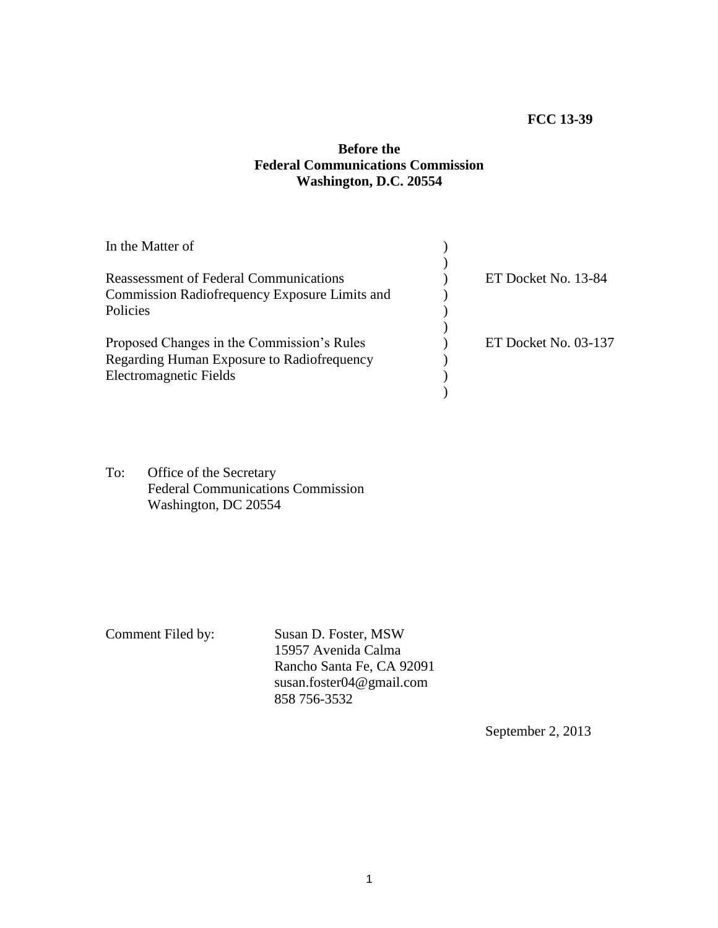## **FCC 13-39**

## **Before the Federal Communications Commission Washington, D.C. 20554**

| In the Matter of                              |                      |
|-----------------------------------------------|----------------------|
|                                               |                      |
| Reassessment of Federal Communications        | ET Docket No. 13-84  |
| Commission Radiofrequency Exposure Limits and |                      |
| Policies                                      |                      |
|                                               |                      |
| Proposed Changes in the Commission's Rules    | ET Docket No. 03-137 |
| Regarding Human Exposure to Radiofrequency    |                      |
| <b>Electromagnetic Fields</b>                 |                      |
|                                               |                      |
|                                               |                      |

To: Office of the Secretary Federal Communications Commission Washington, DC 20554

Comment Filed by: Susan D. Foster, MSW 15957 Avenida Calma Rancho Santa Fe, CA 92091 susan.foster04@gmail.com 858 756-3532

September 2, 2013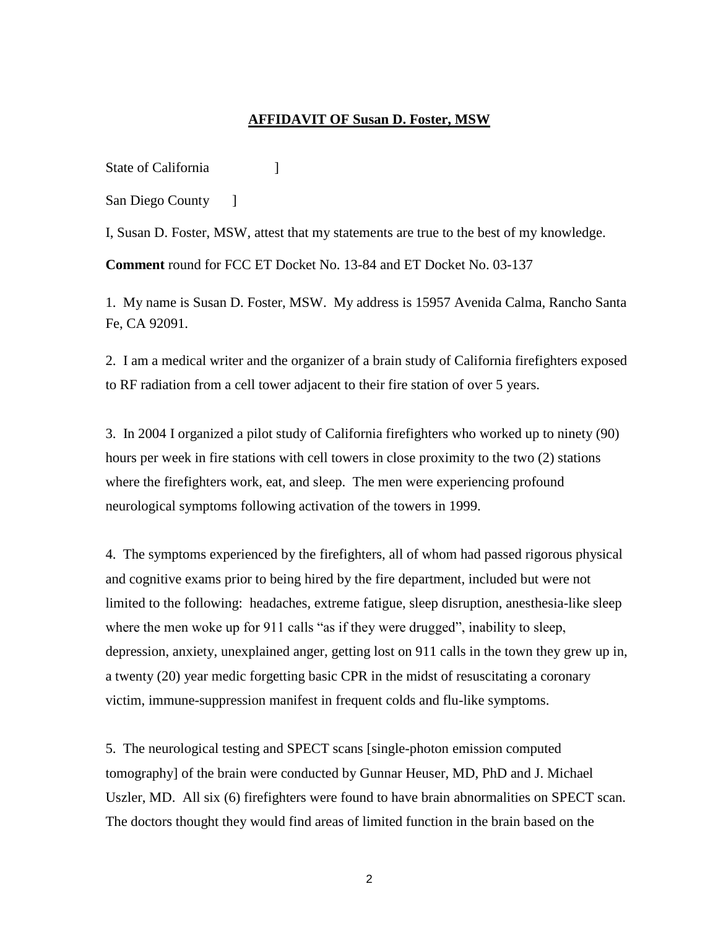## **AFFIDAVIT OF Susan D. Foster, MSW**

State of California [19]

San Diego County — 1

I, Susan D. Foster, MSW, attest that my statements are true to the best of my knowledge.

**Comment** round for FCC ET Docket No. 13-84 and ET Docket No. 03-137

1. My name is Susan D. Foster, MSW. My address is 15957 Avenida Calma, Rancho Santa Fe, CA 92091.

2. I am a medical writer and the organizer of a brain study of California firefighters exposed to RF radiation from a cell tower adjacent to their fire station of over 5 years.

3. In 2004 I organized a pilot study of California firefighters who worked up to ninety (90) hours per week in fire stations with cell towers in close proximity to the two (2) stations where the firefighters work, eat, and sleep. The men were experiencing profound neurological symptoms following activation of the towers in 1999.

4. The symptoms experienced by the firefighters, all of whom had passed rigorous physical and cognitive exams prior to being hired by the fire department, included but were not limited to the following: headaches, extreme fatigue, sleep disruption, anesthesia-like sleep where the men woke up for 911 calls "as if they were drugged", inability to sleep, depression, anxiety, unexplained anger, getting lost on 911 calls in the town they grew up in, a twenty (20) year medic forgetting basic CPR in the midst of resuscitating a coronary victim, immune-suppression manifest in frequent colds and flu-like symptoms.

5. The neurological testing and SPECT scans [single-photon emission computed tomography] of the brain were conducted by Gunnar Heuser, MD, PhD and J. Michael Uszler, MD. All six (6) firefighters were found to have brain abnormalities on SPECT scan. The doctors thought they would find areas of limited function in the brain based on the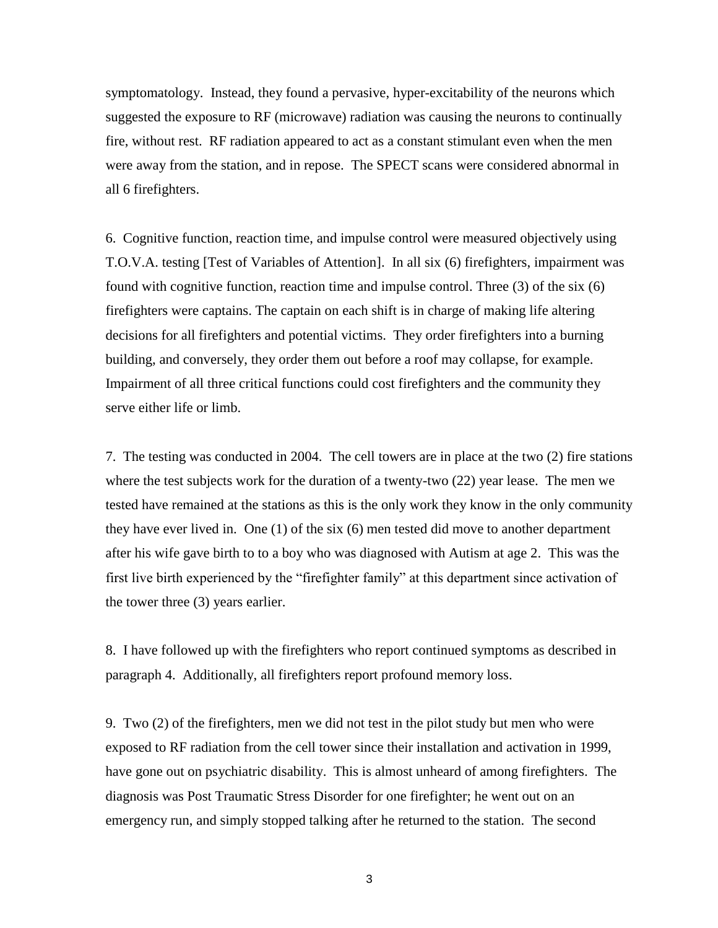symptomatology. Instead, they found a pervasive, hyper-excitability of the neurons which suggested the exposure to RF (microwave) radiation was causing the neurons to continually fire, without rest. RF radiation appeared to act as a constant stimulant even when the men were away from the station, and in repose. The SPECT scans were considered abnormal in all 6 firefighters.

6. Cognitive function, reaction time, and impulse control were measured objectively using T.O.V.A. testing [Test of Variables of Attention]. In all six (6) firefighters, impairment was found with cognitive function, reaction time and impulse control. Three (3) of the six (6) firefighters were captains. The captain on each shift is in charge of making life altering decisions for all firefighters and potential victims. They order firefighters into a burning building, and conversely, they order them out before a roof may collapse, for example. Impairment of all three critical functions could cost firefighters and the community they serve either life or limb.

7. The testing was conducted in 2004. The cell towers are in place at the two (2) fire stations where the test subjects work for the duration of a twenty-two (22) year lease. The men we tested have remained at the stations as this is the only work they know in the only community they have ever lived in. One (1) of the six (6) men tested did move to another department after his wife gave birth to to a boy who was diagnosed with Autism at age 2. This was the first live birth experienced by the "firefighter family" at this department since activation of the tower three (3) years earlier.

8. I have followed up with the firefighters who report continued symptoms as described in paragraph 4. Additionally, all firefighters report profound memory loss.

9. Two (2) of the firefighters, men we did not test in the pilot study but men who were exposed to RF radiation from the cell tower since their installation and activation in 1999, have gone out on psychiatric disability. This is almost unheard of among firefighters. The diagnosis was Post Traumatic Stress Disorder for one firefighter; he went out on an emergency run, and simply stopped talking after he returned to the station. The second

3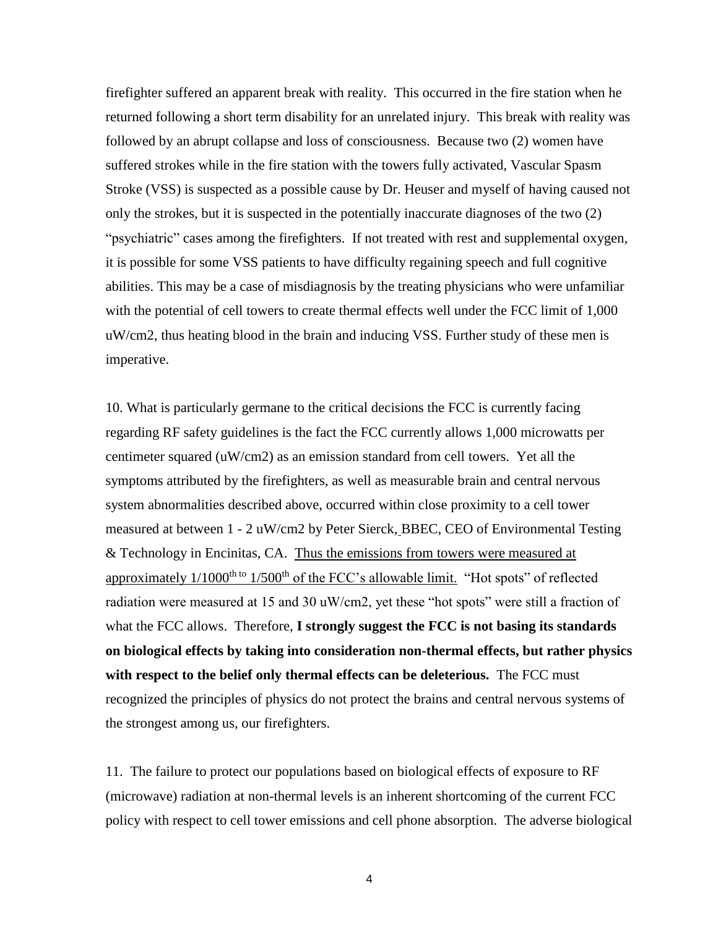firefighter suffered an apparent break with reality. This occurred in the fire station when he returned following a short term disability for an unrelated injury. This break with reality was followed by an abrupt collapse and loss of consciousness. Because two (2) women have suffered strokes while in the fire station with the towers fully activated, Vascular Spasm Stroke (VSS) is suspected as a possible cause by Dr. Heuser and myself of having caused not only the strokes, but it is suspected in the potentially inaccurate diagnoses of the two (2) "psychiatric" cases among the firefighters. If not treated with rest and supplemental oxygen, it is possible for some VSS patients to have difficulty regaining speech and full cognitive abilities. This may be a case of misdiagnosis by the treating physicians who were unfamiliar with the potential of cell towers to create thermal effects well under the FCC limit of 1,000 uW/cm2, thus heating blood in the brain and inducing VSS. Further study of these men is imperative.

10. What is particularly germane to the critical decisions the FCC is currently facing regarding RF safety guidelines is the fact the FCC currently allows 1,000 microwatts per centimeter squared (uW/cm2) as an emission standard from cell towers. Yet all the symptoms attributed by the firefighters, as well as measurable brain and central nervous system abnormalities described above, occurred within close proximity to a cell tower measured at between 1 - 2 uW/cm2 by Peter Sierck, BBEC, CEO of Environmental Testing & Technology in Encinitas, CA. Thus the emissions from towers were measured at approximately  $1/1000^{th}$  to  $1/500^{th}$  of the FCC's allowable limit. "Hot spots" of reflected radiation were measured at 15 and 30 uW/cm2, yet these "hot spots" were still a fraction of what the FCC allows. Therefore, **I strongly suggest the FCC is not basing its standards on biological effects by taking into consideration non-thermal effects, but rather physics with respect to the belief only thermal effects can be deleterious.** The FCC must recognized the principles of physics do not protect the brains and central nervous systems of the strongest among us, our firefighters.

11. The failure to protect our populations based on biological effects of exposure to RF (microwave) radiation at non-thermal levels is an inherent shortcoming of the current FCC policy with respect to cell tower emissions and cell phone absorption. The adverse biological

4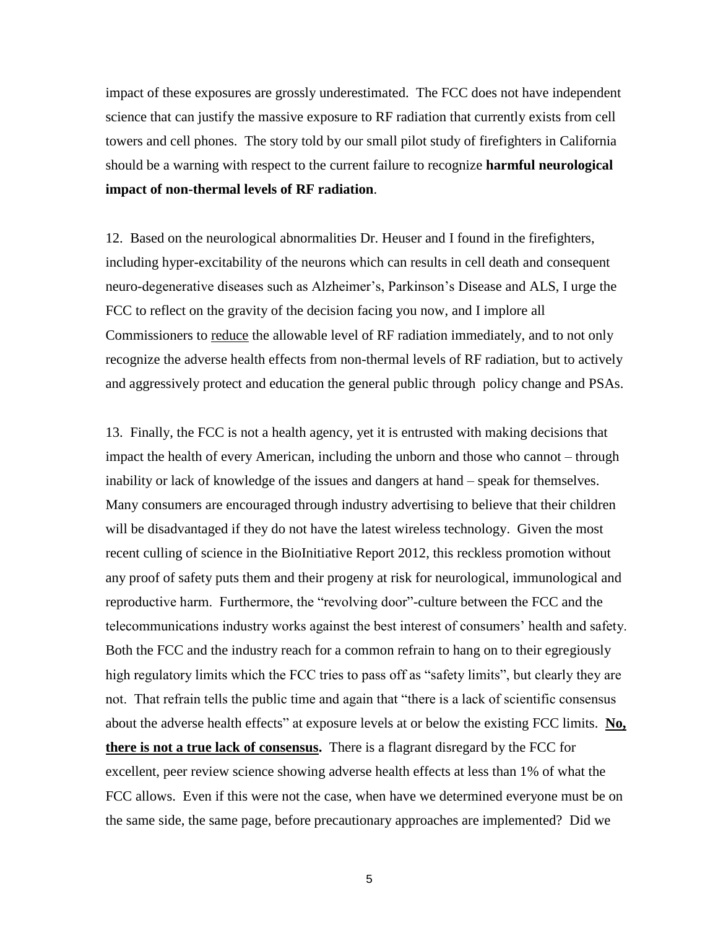impact of these exposures are grossly underestimated. The FCC does not have independent science that can justify the massive exposure to RF radiation that currently exists from cell towers and cell phones. The story told by our small pilot study of firefighters in California should be a warning with respect to the current failure to recognize **harmful neurological impact of non-thermal levels of RF radiation**.

12. Based on the neurological abnormalities Dr. Heuser and I found in the firefighters, including hyper-excitability of the neurons which can results in cell death and consequent neuro-degenerative diseases such as Alzheimer's, Parkinson's Disease and ALS, I urge the FCC to reflect on the gravity of the decision facing you now, and I implore all Commissioners to reduce the allowable level of RF radiation immediately, and to not only recognize the adverse health effects from non-thermal levels of RF radiation, but to actively and aggressively protect and education the general public through policy change and PSAs.

13. Finally, the FCC is not a health agency, yet it is entrusted with making decisions that impact the health of every American, including the unborn and those who cannot – through inability or lack of knowledge of the issues and dangers at hand – speak for themselves. Many consumers are encouraged through industry advertising to believe that their children will be disadvantaged if they do not have the latest wireless technology. Given the most recent culling of science in the BioInitiative Report 2012, this reckless promotion without any proof of safety puts them and their progeny at risk for neurological, immunological and reproductive harm. Furthermore, the "revolving door"-culture between the FCC and the telecommunications industry works against the best interest of consumers' health and safety. Both the FCC and the industry reach for a common refrain to hang on to their egregiously high regulatory limits which the FCC tries to pass off as "safety limits", but clearly they are not. That refrain tells the public time and again that "there is a lack of scientific consensus about the adverse health effects" at exposure levels at or below the existing FCC limits. **No, there is not a true lack of consensus.** There is a flagrant disregard by the FCC for excellent, peer review science showing adverse health effects at less than 1% of what the FCC allows. Even if this were not the case, when have we determined everyone must be on the same side, the same page, before precautionary approaches are implemented? Did we

5